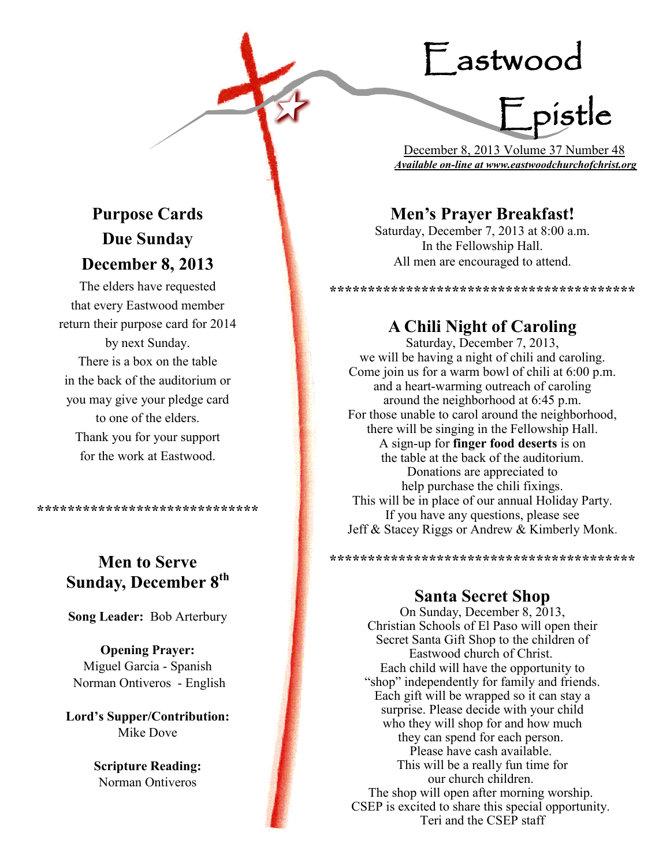# Eastwood

mouu<br>F pistle

 December 8, 2013 Volume 37 Number 48 *Available on-line at www.eastwoodchurchofchrist.org*

# **Men's Prayer Breakfast!**

Saturday, December 7, 2013 at 8:00 a.m. In the Fellowship Hall. All men are encouraged to attend.

\*\*\*\*\*\*\*\*\*\*\*\*\*\*\*\*\*\*\*\*\*\*\*\*\*\*\*\*\*\*\*\*\*\*\*\*\*

### **A Chili Night of Caroling**

Saturday, December 7, 2013, we will be having a night of chili and caroling. Come join us for a warm bowl of chili at 6:00 p.m. and a heart-warming outreach of caroling around the neighborhood at 6:45 p.m. For those unable to carol around the neighborhood, there will be singing in the Fellowship Hall. A sign-up for **finger food deserts** is on the table at the back of the auditorium. Donations are appreciated to help purchase the chili fixings. This will be in place of our annual Holiday Party. If you have any questions, please see Jeff & Stacey Riggs or Andrew & Kimberly Monk.

### **Santa Secret Shop**

\*\*\*\*\*\*\*\*\*\*\*\*\*\*\*\*\*\*\*\*\*\*\*\*\*\*\*\*\*\*\*\*\*\*\*\*\*

On Sunday, December 8, 2013, Christian Schools of El Paso will open their Secret Santa Gift Shop to the children of Eastwood church of Christ. Each child will have the opportunity to "shop" independently for family and friends. Each gift will be wrapped so it can stay a surprise. Please decide with your child who they will shop for and how much they can spend for each person. Please have cash available. This will be a really fun time for our church children. The shop will open after morning worship. CSEP is excited to share this special opportunity. Teri and the CSEP staff

# **Purpose Cards Due Sunday December 8, 2013**

The elders have requested that every Eastwood member return their purpose card for 2014 by next Sunday. There is a box on the table in the back of the auditorium or you may give your pledge card to one of the elders. Thank you for your support for the work at Eastwood.

**\*\*\*\*\*\*\*\*\*\*\*\*\*\*\*\*\*\*\*\*\*\*\*\*\*\*\*\*\***

# **Men to Serve Sunday, December 8th**

**Song Leader:** Bob Arterbury

**Opening Prayer:** Miguel Garcia - Spanish Norman Ontiveros - English

**Lord's Supper/Contribution:**  Mike Dove

> **Scripture Reading:**  Norman Ontiveros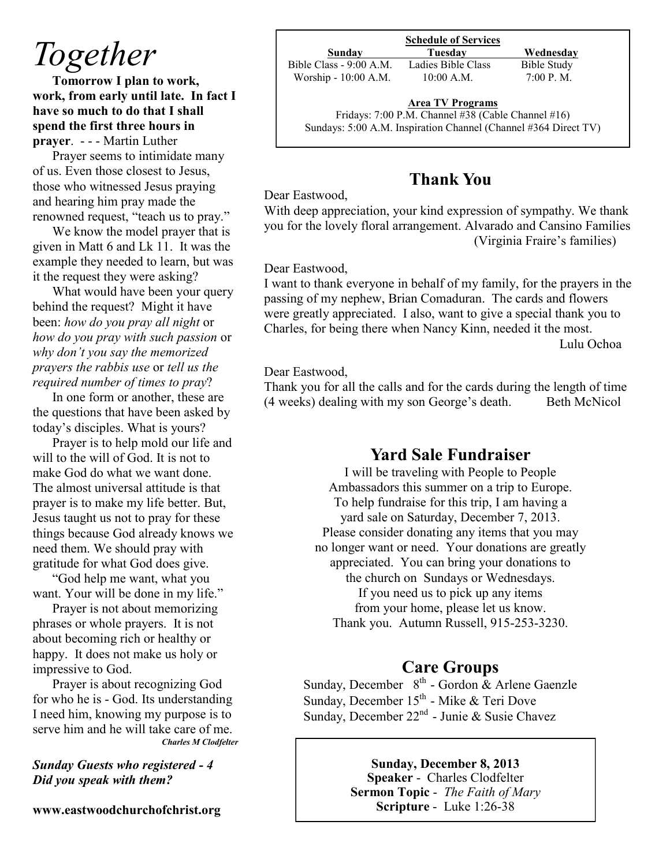# *Together*

**Tomorrow I plan to work, work, from early until late. In fact I have so much to do that I shall spend the first three hours in prayer**. - - - Martin Luther

Prayer seems to intimidate many of us. Even those closest to Jesus, those who witnessed Jesus praying and hearing him pray made the renowned request, "teach us to pray."

We know the model prayer that is given in Matt 6 and Lk 11. It was the example they needed to learn, but was it the request they were asking?

What would have been your query behind the request? Might it have been: *how do you pray all night* or *how do you pray with such passion* or *why don't you say the memorized prayers the rabbis use* or *tell us the required number of times to pray*?

In one form or another, these are the questions that have been asked by today's disciples. What is yours?

Prayer is to help mold our life and will to the will of God. It is not to make God do what we want done. The almost universal attitude is that prayer is to make my life better. But, Jesus taught us not to pray for these things because God already knows we need them. We should pray with gratitude for what God does give.

"God help me want, what you want. Your will be done in my life."

Prayer is not about memorizing phrases or whole prayers. It is not about becoming rich or healthy or happy. It does not make us holy or impressive to God.

Prayer is about recognizing God for who he is - God. Its understanding I need him, knowing my purpose is to serve him and he will take care of me. *Charles M Clodfelter*

#### *Sunday Guests who registered - 4 Did you speak with them?*

**www.eastwoodchurchofchrist.org**

#### **Schedule of Services**

Bible Class - 9:00 A.M. Ladies Bible Class Bible Study Worship - 10:00 A.M. 10:00 A.M. 7:00 P.M.

**Sunday Tuesday Wednesday**

# **Area TV Programs**

Fridays: 7:00 P.M. Channel #38 (Cable Channel #16) Sundays: 5:00 A.M. Inspiration Channel (Channel #364 Direct TV)

# **Thank You**

#### Dear Eastwood,

With deep appreciation, your kind expression of sympathy. We thank you for the lovely floral arrangement. Alvarado and Cansino Families (Virginia Fraire's families)

#### Dear Eastwood,

I want to thank everyone in behalf of my family, for the prayers in the passing of my nephew, Brian Comaduran. The cards and flowers were greatly appreciated. I also, want to give a special thank you to Charles, for being there when Nancy Kinn, needed it the most.

Lulu Ochoa

#### Dear Eastwood,

Thank you for all the calls and for the cards during the length of time (4 weeks) dealing with my son George's death. Beth McNicol

### **Yard Sale Fundraiser**

I will be traveling with People to People Ambassadors this summer on a trip to Europe. To help fundraise for this trip, I am having a yard sale on Saturday, December 7, 2013. Please consider donating any items that you may no longer want or need. Your donations are greatly appreciated. You can bring your donations to the church on Sundays or Wednesdays. If you need us to pick up any items from your home, please let us know. Thank you. Autumn Russell, 915-253-3230.

# **Care Groups**

Sunday, December  $8<sup>th</sup>$  - Gordon & Arlene Gaenzle Sunday, December 15<sup>th</sup> - Mike & Teri Dove Sunday, December  $22^{nd}$  - Junie & Susie Chavez

#### **Sunday, December 8, 2013**

**Speaker** - Charles Clodfelter **Sermon Topic** - *The Faith of Mary* **Scripture** - Luke 1:26-38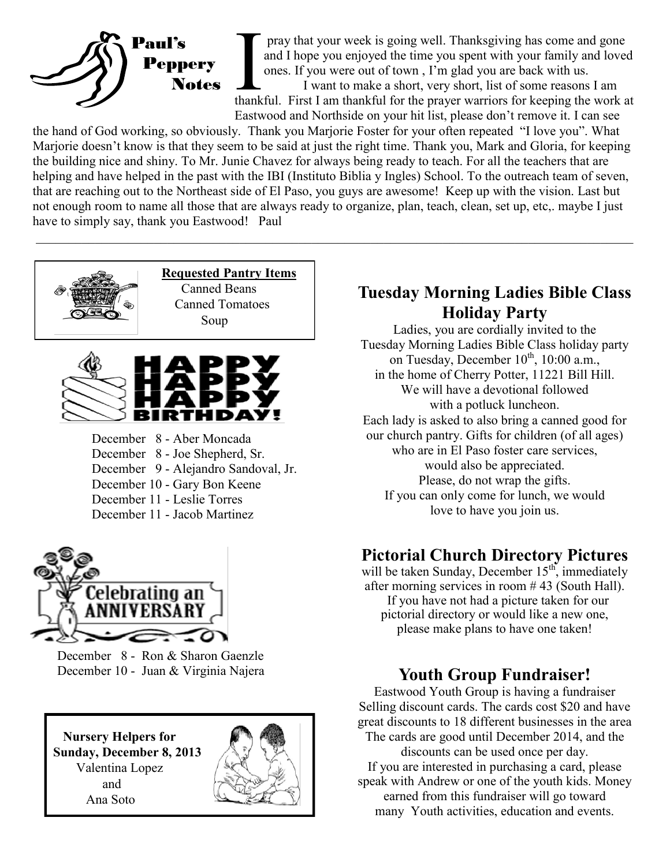

I am thankful for the prayer warriors for keeping the work at thankful. First I am thankful for the prayer warriors for keeping the work at thankful. First I am thankful for the prayer warriors for keeping the work at the pray that your week is going well. Thanksgiving has come and gone and I hope you enjoyed the time you spent with your family and loved ones. If you were out of town , I'm glad you are back with us. I want to make a short, very short, list of some reasons I am Eastwood and Northside on your hit list, please don't remove it. I can see

the hand of God working, so obviously. Thank you Marjorie Foster for your often repeated "I love you". What Marjorie doesn't know is that they seem to be said at just the right time. Thank you, Mark and Gloria, for keeping the building nice and shiny. To Mr. Junie Chavez for always being ready to teach. For all the teachers that are helping and have helped in the past with the IBI (Instituto Biblia y Ingles) School. To the outreach team of seven, that are reaching out to the Northeast side of El Paso, you guys are awesome! Keep up with the vision. Last but not enough room to name all those that are always ready to organize, plan, teach, clean, set up, etc,. maybe I just have to simply say, thank you Eastwood! Paul



 December 8 - Ron & Sharon Gaenzle December 10 - Juan & Virginia Najera

 **Nursery Helpers for Sunday, December 8, 2013** Valentina Lopez and Ana Soto



# **Tuesday Morning Ladies Bible Class Holiday Party**

Ladies, you are cordially invited to the Tuesday Morning Ladies Bible Class holiday party on Tuesday, December  $10^{th}$ ,  $10:00$  a.m., in the home of Cherry Potter, 11221 Bill Hill. We will have a devotional followed with a potluck luncheon. Each lady is asked to also bring a canned good for our church pantry. Gifts for children (of all ages) who are in El Paso foster care services, would also be appreciated. Please, do not wrap the gifts. If you can only come for lunch, we would love to have you join us.

# **Pictorial Church Directory Pictures**

will be taken Sunday, December  $15<sup>th</sup>$ , immediately after morning services in room # 43 (South Hall). If you have not had a picture taken for our pictorial directory or would like a new one, please make plans to have one taken!

# **Youth Group Fundraiser!**

Eastwood Youth Group is having a fundraiser Selling discount cards. The cards cost \$20 and have great discounts to 18 different businesses in the area The cards are good until December 2014, and the discounts can be used once per day. If you are interested in purchasing a card, please speak with Andrew or one of the youth kids. Money

earned from this fundraiser will go toward many Youth activities, education and events.